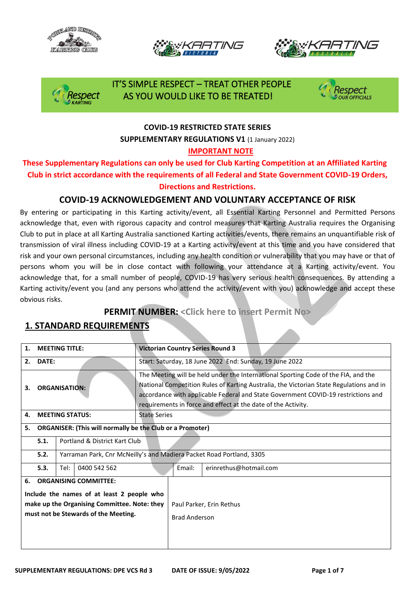







## IT'S SIMPLE RESPECT – TREAT OTHER PEOPLE Respect AS YOU WOULD LIKE TO BE TREATED!



### **COVID-19 RESTRICTED STATE SERIES SUPPLEMENTARY REGULATIONS V1 (1 January 2022) IMPORTANT NOTE**

### **These Supplementary Regulations can only be used for Club Karting Competition at an Affiliated Karting Club in strict accordance with the requirements of all Federal and State Government COVID-19 Orders, Directions and Restrictions.**

## **COVID-19 ACKNOWLEDGEMENT AND VOLUNTARY ACCEPTANCE OF RISK**

By entering or participating in this Karting activity/event, all Essential Karting Personnel and Permitted Persons acknowledge that, even with rigorous capacity and control measures that Karting Australia requires the Organising Club to put in place at all Karting Australia sanctioned Karting activities/events, there remains an unquantifiable risk of transmission of viral illness including COVID-19 at a Karting activity/event at this time and you have considered that risk and your own personal circumstances, including any health condition or vulnerability that you may have or that of persons whom you will be in close contact with following your attendance at a Karting activity/event. You acknowledge that, for a small number of people, COVID-19 has very serious health consequences. By attending a Karting activity/event you (and any persons who attend the activity/event with you) acknowledge and accept these obvious risks.

## **PERMIT NUMBER: <Click here to insert Permit No>**

## **1. STANDARD REQUIREMENTS**

| <b>MEETING TITLE:</b><br>1.                                                                                                                                              |                                                                              |                      | <b>Victorian Country Series Round 3</b>                                                                                                                                                                                                                                                                                             |                     |                      |                          |  |  |
|--------------------------------------------------------------------------------------------------------------------------------------------------------------------------|------------------------------------------------------------------------------|----------------------|-------------------------------------------------------------------------------------------------------------------------------------------------------------------------------------------------------------------------------------------------------------------------------------------------------------------------------------|---------------------|----------------------|--------------------------|--|--|
| DATE:<br>2.                                                                                                                                                              |                                                                              |                      | Start: Saturday, 18 June 2022 End: Sunday, 19 June 2022                                                                                                                                                                                                                                                                             |                     |                      |                          |  |  |
| <b>ORGANISATION:</b><br>3.                                                                                                                                               |                                                                              |                      | The Meeting will be held under the International Sporting Code of the FIA, and the<br>National Competition Rules of Karting Australia, the Victorian State Regulations and in<br>accordance with applicable Federal and State Government COVID-19 restrictions and<br>requirements in force and effect at the date of the Activity. |                     |                      |                          |  |  |
| <b>MEETING STATUS:</b><br>4.                                                                                                                                             |                                                                              |                      |                                                                                                                                                                                                                                                                                                                                     | <b>State Series</b> |                      |                          |  |  |
| <b>ORGANISER: (This will normally be the Club or a Promoter)</b><br>5.                                                                                                   |                                                                              |                      |                                                                                                                                                                                                                                                                                                                                     |                     |                      |                          |  |  |
|                                                                                                                                                                          | Portland & District Kart Club<br>5.1.                                        |                      |                                                                                                                                                                                                                                                                                                                                     |                     |                      |                          |  |  |
|                                                                                                                                                                          | 5.2.<br>Yarraman Park, Cnr McNeilly's and Madiera Packet Road Portland, 3305 |                      |                                                                                                                                                                                                                                                                                                                                     |                     |                      |                          |  |  |
|                                                                                                                                                                          | 5.3.                                                                         | 0400 542 562<br>Tel: |                                                                                                                                                                                                                                                                                                                                     |                     | Email:               | erinrethus@hotmail.com   |  |  |
| <b>ORGANISING COMMITTEE:</b><br>6.<br>Include the names of at least 2 people who<br>make up the Organising Committee. Note: they<br>must not be Stewards of the Meeting. |                                                                              |                      |                                                                                                                                                                                                                                                                                                                                     |                     | <b>Brad Anderson</b> | Paul Parker, Erin Rethus |  |  |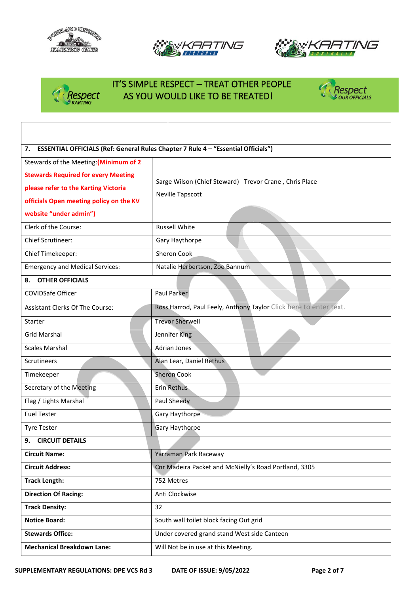







# IT'S SIMPLE RESPECT – TREAT OTHER PEOPLE Respect AS YOU WOULD LIKE TO BE TREATED!<br>DKARTING



| 7. ESSENTIAL OFFICIALS (Ref: General Rules Chapter 7 Rule 4 - "Essential Officials")                                                                                                              |                                                                            |  |  |  |  |
|---------------------------------------------------------------------------------------------------------------------------------------------------------------------------------------------------|----------------------------------------------------------------------------|--|--|--|--|
| Stewards of the Meeting: (Minimum of 2<br><b>Stewards Required for every Meeting</b><br>please refer to the Karting Victoria<br>officials Open meeting policy on the KV<br>website "under admin") | Sarge Wilson (Chief Steward) Trevor Crane, Chris Place<br>Neville Tapscott |  |  |  |  |
| Clerk of the Course:                                                                                                                                                                              | <b>Russell White</b>                                                       |  |  |  |  |
| <b>Chief Scrutineer:</b>                                                                                                                                                                          | Gary Haythorpe                                                             |  |  |  |  |
| Chief Timekeeper:                                                                                                                                                                                 | Sheron Cook                                                                |  |  |  |  |
| <b>Emergency and Medical Services:</b>                                                                                                                                                            | Natalie Herbertson, Zoe Bannum                                             |  |  |  |  |
| <b>OTHER OFFICIALS</b><br>8.                                                                                                                                                                      |                                                                            |  |  |  |  |
| COVIDSafe Officer                                                                                                                                                                                 | Paul Parker                                                                |  |  |  |  |
| Assistant Clerks Of The Course:                                                                                                                                                                   | Ross Harrod, Paul Feely, Anthony Taylor Click here to enter text.          |  |  |  |  |
| Starter                                                                                                                                                                                           | <b>Trevor Sherwell</b>                                                     |  |  |  |  |
| <b>Grid Marshal</b>                                                                                                                                                                               | Jennifer King                                                              |  |  |  |  |
| <b>Scales Marshal</b>                                                                                                                                                                             | <b>Adrian Jones</b>                                                        |  |  |  |  |
| Scrutineers                                                                                                                                                                                       | Alan Lear, Daniel Rethus                                                   |  |  |  |  |
| Timekeeper                                                                                                                                                                                        | <b>Sheron Cook</b>                                                         |  |  |  |  |
| Secretary of the Meeting                                                                                                                                                                          | Erin Rethus                                                                |  |  |  |  |
| Flag / Lights Marshal                                                                                                                                                                             | Paul Sheedy                                                                |  |  |  |  |
| <b>Fuel Tester</b>                                                                                                                                                                                | Gary Haythorpe                                                             |  |  |  |  |
| <b>Tyre Tester</b>                                                                                                                                                                                | <b>Gary Haythorpe</b>                                                      |  |  |  |  |
| 9.<br><b>CIRCUIT DETAILS</b>                                                                                                                                                                      |                                                                            |  |  |  |  |
| <b>Circuit Name:</b>                                                                                                                                                                              | Yarraman Park Raceway                                                      |  |  |  |  |
| <b>Circuit Address:</b>                                                                                                                                                                           | Cnr Madeira Packet and McNielly's Road Portland, 3305                      |  |  |  |  |
| <b>Track Length:</b>                                                                                                                                                                              | 752 Metres                                                                 |  |  |  |  |
| <b>Direction Of Racing:</b>                                                                                                                                                                       | Anti Clockwise                                                             |  |  |  |  |
| <b>Track Density:</b>                                                                                                                                                                             | 32                                                                         |  |  |  |  |
| <b>Notice Board:</b>                                                                                                                                                                              | South wall toilet block facing Out grid                                    |  |  |  |  |
| <b>Stewards Office:</b>                                                                                                                                                                           | Under covered grand stand West side Canteen                                |  |  |  |  |
| <b>Mechanical Breakdown Lane:</b>                                                                                                                                                                 | Will Not be in use at this Meeting.                                        |  |  |  |  |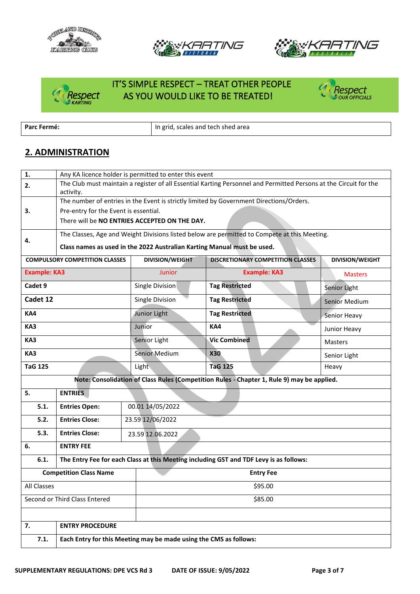







# IT'S SIMPLE RESPECT – TREAT OTHER PEOPLE Respect AS YOU WOULD LIKE TO BE TREATED!



**Parc Fermé: Parc Fermé: In grid, scales and tech shed area** 

## **2. ADMINISTRATION**

| 1.                  | Any KA licence holder is permitted to enter this event                                                                         |                                                                   |                                                                                            |                 |  |  |  |  |  |
|---------------------|--------------------------------------------------------------------------------------------------------------------------------|-------------------------------------------------------------------|--------------------------------------------------------------------------------------------|-----------------|--|--|--|--|--|
| 2.                  | The Club must maintain a register of all Essential Karting Personnel and Permitted Persons at the Circuit for the<br>activity. |                                                                   |                                                                                            |                 |  |  |  |  |  |
|                     | The number of entries in the Event is strictly limited by Government Directions/Orders.                                        |                                                                   |                                                                                            |                 |  |  |  |  |  |
| 3.                  | Pre-entry for the Event is essential.                                                                                          |                                                                   |                                                                                            |                 |  |  |  |  |  |
|                     |                                                                                                                                | There will be NO ENTRIES ACCEPTED ON THE DAY.                     |                                                                                            |                 |  |  |  |  |  |
|                     | The Classes, Age and Weight Divisions listed below are permitted to Compete at this Meeting.                                   |                                                                   |                                                                                            |                 |  |  |  |  |  |
| 4.                  | Class names as used in the 2022 Australian Karting Manual must be used.                                                        |                                                                   |                                                                                            |                 |  |  |  |  |  |
|                     | <b>COMPULSORY COMPETITION CLASSES</b>                                                                                          | <b>DIVISION/WEIGHT</b>                                            | <b>DISCRETIONARY COMPETITION CLASSES</b>                                                   | DIVISION/WEIGHT |  |  |  |  |  |
| <b>Example: KA3</b> |                                                                                                                                | Junior                                                            | <b>Example: KA3</b>                                                                        | <b>Masters</b>  |  |  |  |  |  |
| Cadet 9             |                                                                                                                                | Single Division                                                   | <b>Tag Restricted</b>                                                                      | Senior Light    |  |  |  |  |  |
| Cadet 12            |                                                                                                                                | Single Division                                                   | <b>Tag Restricted</b>                                                                      | Senior Medium   |  |  |  |  |  |
| KA4                 |                                                                                                                                | Junior Light                                                      | <b>Tag Restricted</b>                                                                      | Senior Heavy    |  |  |  |  |  |
| KA3                 |                                                                                                                                | Junior                                                            | KA4                                                                                        | Junior Heavy    |  |  |  |  |  |
| KA3                 |                                                                                                                                | Senior Light                                                      | <b>Vic Combined</b>                                                                        | Masters         |  |  |  |  |  |
| KA3                 |                                                                                                                                | Senior Medium                                                     | <b>X30</b>                                                                                 | Senior Light    |  |  |  |  |  |
| <b>TaG 125</b>      |                                                                                                                                | Light                                                             | <b>TaG 125</b>                                                                             |                 |  |  |  |  |  |
|                     |                                                                                                                                |                                                                   | Note: Consolidation of Class Rules (Competition Rules - Chapter 1, Rule 9) may be applied. |                 |  |  |  |  |  |
| 5.                  | <b>ENTRIES</b>                                                                                                                 |                                                                   |                                                                                            |                 |  |  |  |  |  |
| 5.1.                | 00.01 14/05/2022<br><b>Entries Open:</b>                                                                                       |                                                                   |                                                                                            |                 |  |  |  |  |  |
| 5.2.                | <b>Entries Close:</b>                                                                                                          | 23.59 12/06/2022                                                  |                                                                                            |                 |  |  |  |  |  |
| 5.3.                | <b>Entries Close:</b>                                                                                                          | 23.59 12.06.2022                                                  |                                                                                            |                 |  |  |  |  |  |
| 6.                  | <b>ENTRY FEE</b>                                                                                                               |                                                                   |                                                                                            |                 |  |  |  |  |  |
| 6.1.                |                                                                                                                                |                                                                   | The Entry Fee for each Class at this Meeting including GST and TDF Levy is as follows:     |                 |  |  |  |  |  |
|                     | <b>Competition Class Name</b>                                                                                                  |                                                                   | <b>Entry Fee</b>                                                                           |                 |  |  |  |  |  |
| All Classes         |                                                                                                                                |                                                                   | \$95.00                                                                                    |                 |  |  |  |  |  |
|                     | Second or Third Class Entered                                                                                                  |                                                                   | \$85.00                                                                                    |                 |  |  |  |  |  |
|                     |                                                                                                                                |                                                                   |                                                                                            |                 |  |  |  |  |  |
| 7.                  | <b>ENTRY PROCEDURE</b>                                                                                                         |                                                                   |                                                                                            |                 |  |  |  |  |  |
| 7.1.                |                                                                                                                                | Each Entry for this Meeting may be made using the CMS as follows: |                                                                                            |                 |  |  |  |  |  |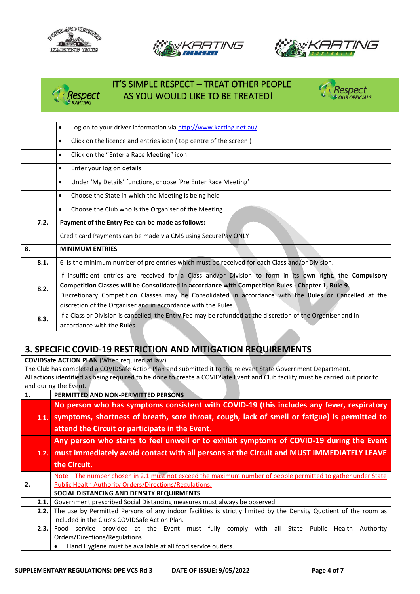







## IT'S SIMPLE RESPECT – TREAT OTHER PEOPLE Respect AS YOU WOULD LIKE TO BE TREATED!<br>KARTING



|      | Log on to your driver information via http://www.karting.net.au/<br>٠                                        |  |  |  |  |  |  |
|------|--------------------------------------------------------------------------------------------------------------|--|--|--|--|--|--|
|      | Click on the licence and entries icon (top centre of the screen)<br>$\bullet$                                |  |  |  |  |  |  |
|      | Click on the "Enter a Race Meeting" icon<br>$\bullet$                                                        |  |  |  |  |  |  |
|      | Enter your log on details<br>$\bullet$                                                                       |  |  |  |  |  |  |
|      | Under 'My Details' functions, choose 'Pre Enter Race Meeting'<br>$\bullet$                                   |  |  |  |  |  |  |
|      | Choose the State in which the Meeting is being held<br>$\bullet$                                             |  |  |  |  |  |  |
|      | Choose the Club who is the Organiser of the Meeting<br>٠                                                     |  |  |  |  |  |  |
| 7.2. | Payment of the Entry Fee can be made as follows:                                                             |  |  |  |  |  |  |
|      | Credit card Payments can be made via CMS using SecurePay ONLY                                                |  |  |  |  |  |  |
| 8.   | <b>MINIMUM ENTRIES</b>                                                                                       |  |  |  |  |  |  |
| 8.1. | 6 is the minimum number of pre entries which must be received for each Class and/or Division.                |  |  |  |  |  |  |
|      | If insufficient entries are received for a Class and/or Division to form in its own right, the Compulsory    |  |  |  |  |  |  |
| 8.2. | Competition Classes will be Consolidated in accordance with Competition Rules - Chapter 1, Rule 9.           |  |  |  |  |  |  |
|      | Discretionary Competition Classes may be Consolidated in accordance with the Rules or Cancelled at the       |  |  |  |  |  |  |
|      | discretion of the Organiser and in accordance with the Rules.                                                |  |  |  |  |  |  |
| 8.3. | If a Class or Division is cancelled, the Entry Fee may be refunded at the discretion of the Organiser and in |  |  |  |  |  |  |
|      | accordance with the Rules.                                                                                   |  |  |  |  |  |  |

## **3. SPECIFIC COVID-19 RESTRICTION AND MITIGATION REQUIREMENTS**

**COVIDSafe ACTION PLAN** (When required at law) The Club has completed a COVIDSafe Action Plan and submitted it to the relevant State Government Department. All actions identified as being required to be done to create a COVIDSafe Event and Club facility must be carried out prior to and during the Event.

| No person who has symptoms consistent with COVID-19 (this includes any fever, respiratory                        |  |  |  |  |  |  |
|------------------------------------------------------------------------------------------------------------------|--|--|--|--|--|--|
|                                                                                                                  |  |  |  |  |  |  |
| symptoms, shortness of breath, sore throat, cough, lack of smell or fatigue) is permitted to                     |  |  |  |  |  |  |
|                                                                                                                  |  |  |  |  |  |  |
| Any person who starts to feel unwell or to exhibit symptoms of COVID-19 during the Event                         |  |  |  |  |  |  |
| must immediately avoid contact with all persons at the Circuit and MUST IMMEDIATELY LEAVE                        |  |  |  |  |  |  |
|                                                                                                                  |  |  |  |  |  |  |
| Note - The number chosen in 2.1 must not exceed the maximum number of people permitted to gather under State     |  |  |  |  |  |  |
| Public Health Authority Orders/Directions/Regulations.                                                           |  |  |  |  |  |  |
|                                                                                                                  |  |  |  |  |  |  |
|                                                                                                                  |  |  |  |  |  |  |
| The use by Permitted Persons of any indoor facilities is strictly limited by the Density Quotient of the room as |  |  |  |  |  |  |
|                                                                                                                  |  |  |  |  |  |  |
| Health<br>Authority                                                                                              |  |  |  |  |  |  |
|                                                                                                                  |  |  |  |  |  |  |
|                                                                                                                  |  |  |  |  |  |  |
|                                                                                                                  |  |  |  |  |  |  |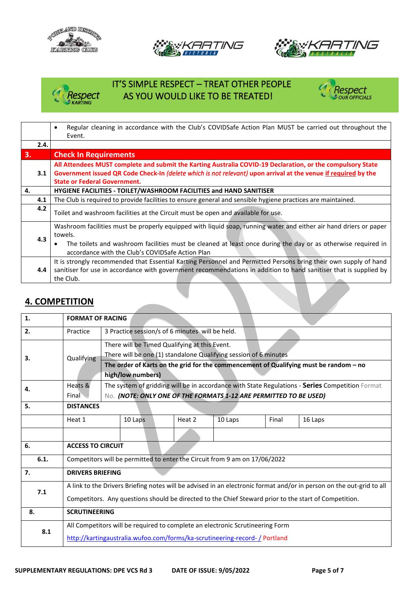





# IT'S SIMPLE RESPECT – TREAT OTHER PEOPLE *Respect* \_\_\_\_\_\_AS YOU WOULD LIKE TO BE TREATED!<br><sup>@KARTING</sup>



|      | Regular cleaning in accordance with the Club's COVIDSafe Action Plan MUST be carried out throughout the<br>$\bullet$ |
|------|----------------------------------------------------------------------------------------------------------------------|
|      | Event.                                                                                                               |
| 2.4. |                                                                                                                      |
| 3.   | <b>Check In Requirements</b>                                                                                         |
|      | All Attendees MUST complete and submit the Karting Australia COVID-19 Declaration, or the compulsory State           |
| 3.1  | Government issued QR Code Check-In (delete which is not relevant) upon arrival at the venue if required by the       |
|      | <b>State or Federal Government.</b>                                                                                  |
| 4.   | <b>HYGIENE FACILITIES - TOILET/WASHROOM FACILITIES and HAND SANITISER</b>                                            |
| 4.1  | The Club is required to provide facilities to ensure general and sensible hygiene practices are maintained.          |
| 4.2  | Toilet and washroom facilities at the Circuit must be open and available for use.                                    |
|      | Washroom facilities must be properly equipped with liquid soap, running water and either air hand driers or paper    |
|      | towels.                                                                                                              |
| 4.3  | The toilets and washroom facilities must be cleaned at least once during the day or as otherwise required in         |
|      | accordance with the Club's COVIDSafe Action Plan                                                                     |
|      | It is strongly recommended that Essential Karting Personnel and Permitted Persons bring their own supply of hand     |
| 4.4  | sanitiser for use in accordance with government recommendations in addition to hand sanitiser that is supplied by    |
|      | the Club.                                                                                                            |

## **4. COMPETITION**

| 1.   | <b>FORMAT OF RACING</b>                                                                                                                                                                                                       |                                                                                                                                                                                                                                 |         |  |        |         |       |         |  |
|------|-------------------------------------------------------------------------------------------------------------------------------------------------------------------------------------------------------------------------------|---------------------------------------------------------------------------------------------------------------------------------------------------------------------------------------------------------------------------------|---------|--|--------|---------|-------|---------|--|
| 2.   | Practice                                                                                                                                                                                                                      | 3 Practice session/s of 6 minutes will be held.                                                                                                                                                                                 |         |  |        |         |       |         |  |
| 3.   | Qualifying                                                                                                                                                                                                                    | There will be Timed Qualifying at this Event.<br>There will be one (1) standalone Qualifying session of 6 minutes<br>The order of Karts on the grid for the commencement of Qualifying must be random - no<br>high/low numbers) |         |  |        |         |       |         |  |
| 4.   | Heats &<br>The system of gridding will be in accordance with State Regulations - Series Competition Format<br>Final<br>No. (NOTE: ONLY ONE OF THE FORMATS 1-12 ARE PERMITTED TO BE USED)                                      |                                                                                                                                                                                                                                 |         |  |        |         |       |         |  |
| 5.   | <b>DISTANCES</b>                                                                                                                                                                                                              |                                                                                                                                                                                                                                 |         |  |        |         |       |         |  |
|      | Heat 1                                                                                                                                                                                                                        |                                                                                                                                                                                                                                 | 10 Laps |  | Heat 2 | 10 Laps | Final | 16 Laps |  |
|      |                                                                                                                                                                                                                               |                                                                                                                                                                                                                                 |         |  |        |         |       |         |  |
| 6.   | <b>ACCESS TO CIRCUIT</b>                                                                                                                                                                                                      |                                                                                                                                                                                                                                 |         |  |        |         |       |         |  |
| 6.1. | Competitors will be permitted to enter the Circuit from 9 am on 17/06/2022                                                                                                                                                    |                                                                                                                                                                                                                                 |         |  |        |         |       |         |  |
| 7.   | <b>DRIVERS BRIEFING</b>                                                                                                                                                                                                       |                                                                                                                                                                                                                                 |         |  |        |         |       |         |  |
| 7.1  | A link to the Drivers Briefing notes will be advised in an electronic format and/or in person on the out-grid to all<br>Competitors. Any questions should be directed to the Chief Steward prior to the start of Competition. |                                                                                                                                                                                                                                 |         |  |        |         |       |         |  |
| 8.   | <b>SCRUTINEERING</b>                                                                                                                                                                                                          |                                                                                                                                                                                                                                 |         |  |        |         |       |         |  |
| 8.1  | All Competitors will be required to complete an electronic Scrutineering Form                                                                                                                                                 |                                                                                                                                                                                                                                 |         |  |        |         |       |         |  |
|      | http://kartingaustralia.wufoo.com/forms/ka-scrutineering-record-/Portland                                                                                                                                                     |                                                                                                                                                                                                                                 |         |  |        |         |       |         |  |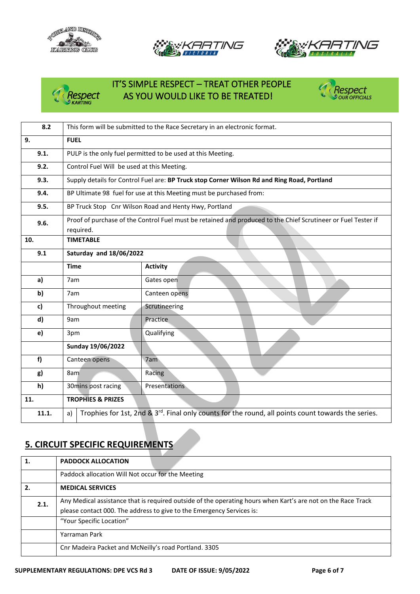





# IT'S SIMPLE RESPECT – TREAT OTHER PEOPLE *Respect* AS YOU WOULD LIKE TO BE TREATED!<br><sup>●KARTING</sup>



| 8.2   | This form will be submitted to the Race Secretary in an electronic format.                                            |                                                                                                               |  |  |  |  |  |
|-------|-----------------------------------------------------------------------------------------------------------------------|---------------------------------------------------------------------------------------------------------------|--|--|--|--|--|
| 9.    | <b>FUEL</b>                                                                                                           |                                                                                                               |  |  |  |  |  |
| 9.1.  | PULP is the only fuel permitted to be used at this Meeting.                                                           |                                                                                                               |  |  |  |  |  |
| 9.2.  | Control Fuel Will be used at this Meeting.                                                                            |                                                                                                               |  |  |  |  |  |
| 9.3.  |                                                                                                                       | Supply details for Control Fuel are: BP Truck stop Corner Wilson Rd and Ring Road, Portland                   |  |  |  |  |  |
| 9.4.  |                                                                                                                       | BP Ultimate 98 fuel for use at this Meeting must be purchased from:                                           |  |  |  |  |  |
| 9.5.  |                                                                                                                       | BP Truck Stop Cnr Wilson Road and Henty Hwy, Portland                                                         |  |  |  |  |  |
| 9.6.  | required.                                                                                                             | Proof of purchase of the Control Fuel must be retained and produced to the Chief Scrutineer or Fuel Tester if |  |  |  |  |  |
| 10.   | <b>TIMETABLE</b>                                                                                                      |                                                                                                               |  |  |  |  |  |
| 9.1   | <b>Saturday and 18/06/2022</b>                                                                                        |                                                                                                               |  |  |  |  |  |
|       | <b>Time</b>                                                                                                           | <b>Activity</b>                                                                                               |  |  |  |  |  |
| a)    | 7am                                                                                                                   | Gates open                                                                                                    |  |  |  |  |  |
| b)    | 7am                                                                                                                   | Canteen opens                                                                                                 |  |  |  |  |  |
| c)    | Throughout meeting                                                                                                    | Scrutineering                                                                                                 |  |  |  |  |  |
| d)    | 9am                                                                                                                   | Practice                                                                                                      |  |  |  |  |  |
| e)    | 3pm                                                                                                                   | Qualifying                                                                                                    |  |  |  |  |  |
|       | Sunday 19/06/2022                                                                                                     |                                                                                                               |  |  |  |  |  |
| f     | Canteen opens                                                                                                         | 7am                                                                                                           |  |  |  |  |  |
| g)    | 8am                                                                                                                   | Racing                                                                                                        |  |  |  |  |  |
| h)    | 30mins post racing                                                                                                    | Presentations                                                                                                 |  |  |  |  |  |
| 11.   | <b>TROPHIES &amp; PRIZES</b>                                                                                          |                                                                                                               |  |  |  |  |  |
| 11.1. | Trophies for 1st, 2nd & 3 <sup>rd</sup> . Final only counts for the round, all points count towards the series.<br>a) |                                                                                                               |  |  |  |  |  |

## **5. CIRCUIT SPECIFIC REQUIREMENTS**

| 1.   | <b>PADDOCK ALLOCATION</b>                                                                                    |
|------|--------------------------------------------------------------------------------------------------------------|
|      | Paddock allocation Will Not occur for the Meeting                                                            |
| 2.   | <b>MEDICAL SERVICES</b>                                                                                      |
| 2.1. | Any Medical assistance that is required outside of the operating hours when Kart's are not on the Race Track |
|      | please contact 000. The address to give to the Emergency Services is:                                        |
|      | "Your Specific Location"                                                                                     |
|      | Yarraman Park                                                                                                |
|      | Cnr Madeira Packet and McNeilly's road Portland. 3305                                                        |